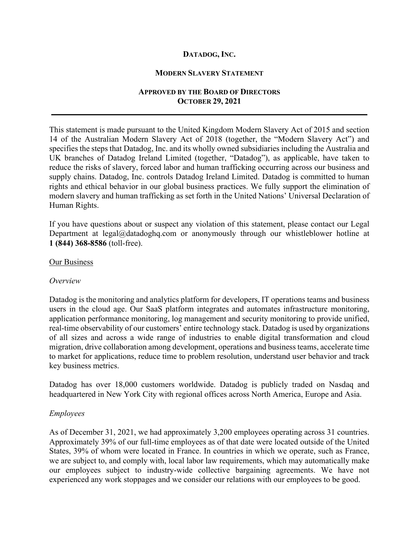# **DATADOG, INC.**

#### **MODERN SLAVERY STATEMENT**

# **APPROVED BY THE BOARD OF DIRECTORS OCTOBER 29, 2021**

 $\mathcal{L}_\mathcal{L} = \mathcal{L}_\mathcal{L} = \mathcal{L}_\mathcal{L} = \mathcal{L}_\mathcal{L} = \mathcal{L}_\mathcal{L} = \mathcal{L}_\mathcal{L} = \mathcal{L}_\mathcal{L} = \mathcal{L}_\mathcal{L} = \mathcal{L}_\mathcal{L} = \mathcal{L}_\mathcal{L} = \mathcal{L}_\mathcal{L} = \mathcal{L}_\mathcal{L} = \mathcal{L}_\mathcal{L} = \mathcal{L}_\mathcal{L} = \mathcal{L}_\mathcal{L} = \mathcal{L}_\mathcal{L} = \mathcal{L}_\mathcal{L}$ 

This statement is made pursuant to the United Kingdom Modern Slavery Act of 2015 and section 14 of the Australian Modern Slavery Act of 2018 (together, the "Modern Slavery Act") and specifies the steps that Datadog, Inc. and its wholly owned subsidiaries including the Australia and UK branches of Datadog Ireland Limited (together, "Datadog"), as applicable, have taken to reduce the risks of slavery, forced labor and human trafficking occurring across our business and supply chains. Datadog, Inc. controls Datadog Ireland Limited. Datadog is committed to human rights and ethical behavior in our global business practices. We fully support the elimination of modern slavery and human trafficking as set forth in the United Nations' Universal Declaration of Human Rights.

If you have questions about or suspect any violation of this statement, please contact our Legal Department at legal@datadoghq.com or anonymously through our whistleblower hotline at **1 (844) 368-8586** (toll-free).

#### Our Business

### *Overview*

Datadog is the monitoring and analytics platform for developers, IT operations teams and business users in the cloud age. Our SaaS platform integrates and automates infrastructure monitoring, application performance monitoring, log management and security monitoring to provide unified, real-time observability of our customers' entire technology stack. Datadog is used by organizations of all sizes and across a wide range of industries to enable digital transformation and cloud migration, drive collaboration among development, operations and business teams, accelerate time to market for applications, reduce time to problem resolution, understand user behavior and track key business metrics.

Datadog has over 18,000 customers worldwide. Datadog is publicly traded on Nasdaq and headquartered in New York City with regional offices across North America, Europe and Asia.

### *Employees*

As of December 31, 2021, we had approximately 3,200 employees operating across 31 countries. Approximately 39% of our full-time employees as of that date were located outside of the United States, 39% of whom were located in France. In countries in which we operate, such as France, we are subject to, and comply with, local labor law requirements, which may automatically make our employees subject to industry-wide collective bargaining agreements. We have not experienced any work stoppages and we consider our relations with our employees to be good.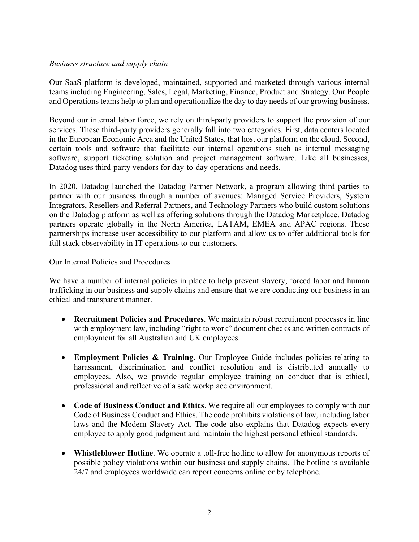### *Business structure and supply chain*

Our SaaS platform is developed, maintained, supported and marketed through various internal teams including Engineering, Sales, Legal, Marketing, Finance, Product and Strategy. Our People and Operations teams help to plan and operationalize the day to day needs of our growing business.

Beyond our internal labor force, we rely on third-party providers to support the provision of our services. These third-party providers generally fall into two categories. First, data centers located in the European Economic Area and the United States, that host our platform on the cloud. Second, certain tools and software that facilitate our internal operations such as internal messaging software, support ticketing solution and project management software. Like all businesses, Datadog uses third-party vendors for day-to-day operations and needs.

In 2020, Datadog launched the Datadog Partner Network, a program allowing third parties to partner with our business through a number of avenues: Managed Service Providers, System Integrators, Resellers and Referral Partners, and Technology Partners who build custom solutions on the Datadog platform as well as offering solutions through the Datadog Marketplace. Datadog partners operate globally in the North America, LATAM, EMEA and APAC regions. These partnerships increase user accessibility to our platform and allow us to offer additional tools for full stack observability in IT operations to our customers.

### Our Internal Policies and Procedures

We have a number of internal policies in place to help prevent slavery, forced labor and human trafficking in our business and supply chains and ensure that we are conducting our business in an ethical and transparent manner.

- **Recruitment Policies and Procedures**. We maintain robust recruitment processes in line with employment law, including "right to work" document checks and written contracts of employment for all Australian and UK employees.
- **Employment Policies & Training**. Our Employee Guide includes policies relating to harassment, discrimination and conflict resolution and is distributed annually to employees. Also, we provide regular employee training on conduct that is ethical, professional and reflective of a safe workplace environment.
- **Code of Business Conduct and Ethics**. We require all our employees to comply with our Code of Business Conduct and Ethics. The code prohibits violations of law, including labor laws and the Modern Slavery Act. The code also explains that Datadog expects every employee to apply good judgment and maintain the highest personal ethical standards.
- **Whistleblower Hotline**. We operate a toll-free hotline to allow for anonymous reports of possible policy violations within our business and supply chains. The hotline is available 24/7 and employees worldwide can report concerns online or by telephone.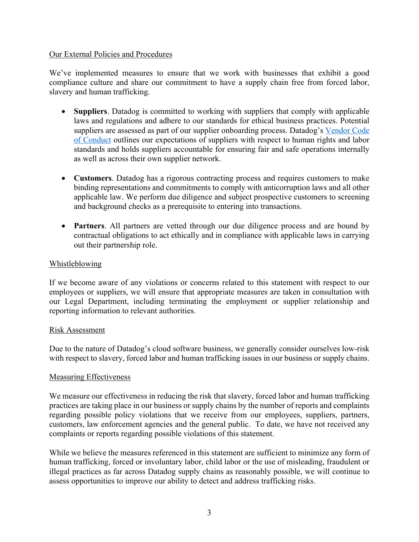#### Our External Policies and Procedures

We've implemented measures to ensure that we work with businesses that exhibit a good compliance culture and share our commitment to have a supply chain free from forced labor, slavery and human trafficking.

- **Suppliers**. Datadog is committed to working with suppliers that comply with applicable laws and regulations and adhere to our standards for ethical business practices. Potential suppliers are assessed as part of our supplier onboarding process. Datadog's Vendor Code of Conduct outlines our expectations of suppliers with respect to human rights and labor standards and holds suppliers accountable for ensuring fair and safe operations internally as well as across their own supplier network.
- **Customers**. Datadog has a rigorous contracting process and requires customers to make binding representations and commitments to comply with anticorruption laws and all other applicable law. We perform due diligence and subject prospective customers to screening and background checks as a prerequisite to entering into transactions.
- **Partners**. All partners are vetted through our due diligence process and are bound by contractual obligations to act ethically and in compliance with applicable laws in carrying out their partnership role.

# Whistleblowing

If we become aware of any violations or concerns related to this statement with respect to our employees or suppliers, we will ensure that appropriate measures are taken in consultation with our Legal Department, including terminating the employment or supplier relationship and reporting information to relevant authorities.

### Risk Assessment

Due to the nature of Datadog's cloud software business, we generally consider ourselves low-risk with respect to slavery, forced labor and human trafficking issues in our business or supply chains.

### Measuring Effectiveness

We measure our effectiveness in reducing the risk that slavery, forced labor and human trafficking practices are taking place in our business or supply chains by the number of reports and complaints regarding possible policy violations that we receive from our employees, suppliers, partners, customers, law enforcement agencies and the general public. To date, we have not received any complaints or reports regarding possible violations of this statement.

While we believe the measures referenced in this statement are sufficient to minimize any form of human trafficking, forced or involuntary labor, child labor or the use of misleading, fraudulent or illegal practices as far across Datadog supply chains as reasonably possible, we will continue to assess opportunities to improve our ability to detect and address trafficking risks.